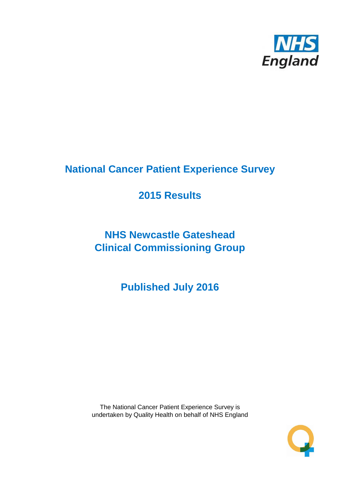

# **National Cancer Patient Experience Survey**

# **2015 Results**

# **NHS Newcastle Gateshead Clinical Commissioning Group**

**Published July 2016**

The National Cancer Patient Experience Survey is undertaken by Quality Health on behalf of NHS England

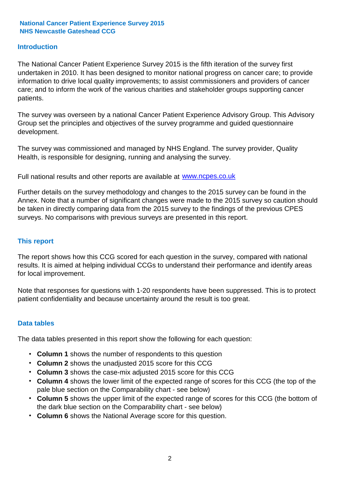#### **Introduction**

The National Cancer Patient Experience Survey 2015 is the fifth iteration of the survey first undertaken in 2010. It has been designed to monitor national progress on cancer care; to provide information to drive local quality improvements; to assist commissioners and providers of cancer care; and to inform the work of the various charities and stakeholder groups supporting cancer patients.

The survey was overseen by a national Cancer Patient Experience Advisory Group. This Advisory Group set the principles and objectives of the survey programme and guided questionnaire development.

The survey was commissioned and managed by NHS England. The survey provider, Quality Health, is responsible for designing, running and analysing the survey.

Full national results and other reports are available at www.ncpes.co.uk

Further details on the survey methodology and changes to the 2015 survey can be found in the Annex. Note that a number of significant changes were made to the 2015 survey so caution should be taken in directly comparing data from the 2015 survey to the findings of the previous CPES surveys. No comparisons with previous surveys are presented in this report.

#### **This report**

The report shows how this CCG scored for each question in the survey, compared with national results. It is aimed at helping individual CCGs to understand their performance and identify areas for local improvement.

Note that responses for questions with 1-20 respondents have been suppressed. This is to protect patient confidentiality and because uncertainty around the result is too great.

#### **Data tables**

The data tables presented in this report show the following for each question:

- **Column 1** shows the number of respondents to this question
- **Column 2** shows the unadjusted 2015 score for this CCG
- **Column 3** shows the case-mix adjusted 2015 score for this CCG
- **Column 4** shows the lower limit of the expected range of scores for this CCG (the top of the pale blue section on the Comparability chart - see below)
- **Column 5** shows the upper limit of the expected range of scores for this CCG (the bottom of the dark blue section on the Comparability chart - see below)
- **Column 6** shows the National Average score for this question.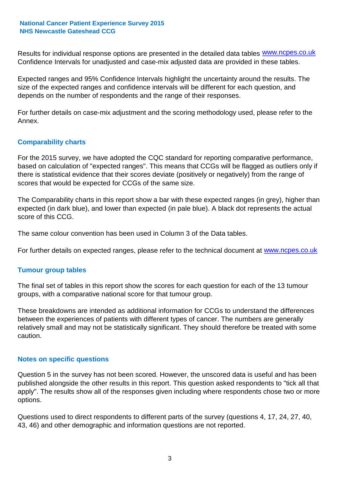Results for individual response options are presented in the detailed data tables **WWW.ncpes.co.uk** Confidence Intervals for unadjusted and case-mix adjusted data are provided in these tables.

Expected ranges and 95% Confidence Intervals highlight the uncertainty around the results. The size of the expected ranges and confidence intervals will be different for each question, and depends on the number of respondents and the range of their responses.

For further details on case-mix adjustment and the scoring methodology used, please refer to the Annex.

#### **Comparability charts**

For the 2015 survey, we have adopted the CQC standard for reporting comparative performance, based on calculation of "expected ranges". This means that CCGs will be flagged as outliers only if there is statistical evidence that their scores deviate (positively or negatively) from the range of scores that would be expected for CCGs of the same size.

The Comparability charts in this report show a bar with these expected ranges (in grey), higher than expected (in dark blue), and lower than expected (in pale blue). A black dot represents the actual score of this CCG.

The same colour convention has been used in Column 3 of the Data tables.

For further details on expected ranges, please refer to the technical document at **www.ncpes.co.uk** 

#### **Tumour group tables**

The final set of tables in this report show the scores for each question for each of the 13 tumour groups, with a comparative national score for that tumour group.

These breakdowns are intended as additional information for CCGs to understand the differences between the experiences of patients with different types of cancer. The numbers are generally relatively small and may not be statistically significant. They should therefore be treated with some caution.

#### **Notes on specific questions**

Question 5 in the survey has not been scored. However, the unscored data is useful and has been published alongside the other results in this report. This question asked respondents to "tick all that apply". The results show all of the responses given including where respondents chose two or more options.

Questions used to direct respondents to different parts of the survey (questions 4, 17, 24, 27, 40, 43, 46) and other demographic and information questions are not reported.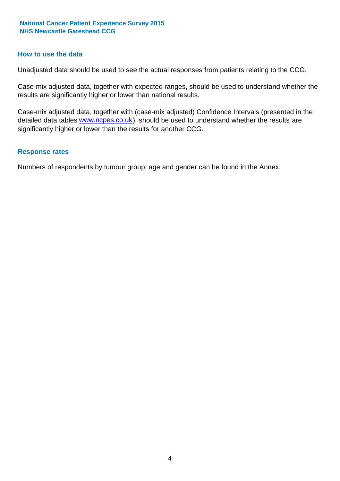#### **How to use the data**

Unadjusted data should be used to see the actual responses from patients relating to the CCG.

Case-mix adjusted data, together with expected ranges, should be used to understand whether the results are significantly higher or lower than national results.

Case-mix adjusted data, together with (case-mix adjusted) Confidence Intervals (presented in the detailed data tables **www.ncpes.co.uk**), should be used to understand whether the results are significantly higher or lower than the results for another CCG.

#### **Response rates**

Numbers of respondents by tumour group, age and gender can be found in the Annex.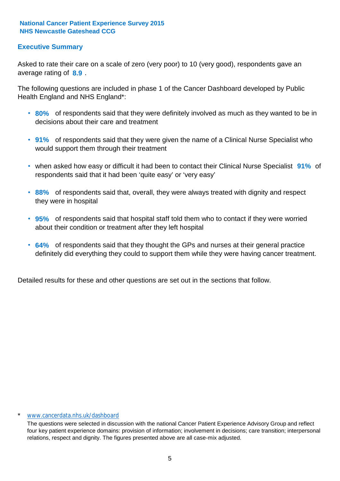#### **Executive Summary**

average rating of **8.9**. Asked to rate their care on a scale of zero (very poor) to 10 (very good), respondents gave an

The following questions are included in phase 1 of the Cancer Dashboard developed by Public Health England and NHS England\*:

- **80%** of respondents said that they were definitely involved as much as they wanted to be in decisions about their care and treatment
- **91%** of respondents said that they were given the name of a Clinical Nurse Specialist who would support them through their treatment
- when asked how easy or difficult it had been to contact their Clinical Nurse Specialist 91% of respondents said that it had been 'quite easy' or 'very easy'
- **88%** of respondents said that, overall, they were always treated with dignity and respect they were in hospital
- **95%** of respondents said that hospital staff told them who to contact if they were worried about their condition or treatment after they left hospital
- **64%** of respondents said that they thought the GPs and nurses at their general practice definitely did everything they could to support them while they were having cancer treatment.

Detailed results for these and other questions are set out in the sections that follow.

#### www.cancerdata.nhs.uk/dashboard

The questions were selected in discussion with the national Cancer Patient Experience Advisory Group and reflect four key patient experience domains: provision of information; involvement in decisions; care transition; interpersonal relations, respect and dignity. The figures presented above are all case-mix adjusted.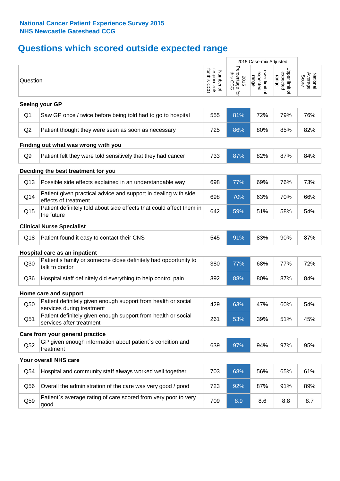# **Questions which scored outside expected range**

|                |                                                                                            |                                          |                                    | 2015 Case-mix Adjusted              |                                     |                              |
|----------------|--------------------------------------------------------------------------------------------|------------------------------------------|------------------------------------|-------------------------------------|-------------------------------------|------------------------------|
| Question       |                                                                                            | respondents<br>for this CCG<br>Number of | Percentage for<br>this CCG<br>2015 | Lower limit of<br>expected<br>range | Upper limit of<br>expected<br>range | Average<br>National<br>Score |
|                | Seeing your GP                                                                             |                                          |                                    |                                     |                                     |                              |
| Q <sub>1</sub> | Saw GP once / twice before being told had to go to hospital                                | 555                                      | 81%                                | 72%                                 | 79%                                 | 76%                          |
| Q2             | Patient thought they were seen as soon as necessary                                        | 725                                      | 86%                                | 80%                                 | 85%                                 | 82%                          |
|                | Finding out what was wrong with you                                                        |                                          |                                    |                                     |                                     |                              |
| Q <sub>9</sub> | Patient felt they were told sensitively that they had cancer                               | 733                                      | 87%                                | 82%                                 | 87%                                 | 84%                          |
|                | Deciding the best treatment for you                                                        |                                          |                                    |                                     |                                     |                              |
| Q13            | Possible side effects explained in an understandable way                                   | 698                                      | 77%                                | 69%                                 | 76%                                 | 73%                          |
| Q14            | Patient given practical advice and support in dealing with side<br>effects of treatment    | 698                                      | 70%                                | 63%                                 | 70%                                 | 66%                          |
| Q15            | Patient definitely told about side effects that could affect them in<br>the future         | 642                                      | 59%                                | 51%                                 | 58%                                 | 54%                          |
|                | <b>Clinical Nurse Specialist</b>                                                           |                                          |                                    |                                     |                                     |                              |
| Q18            | Patient found it easy to contact their CNS                                                 | 545                                      | 91%                                | 83%                                 | 90%                                 | 87%                          |
|                | Hospital care as an inpatient                                                              |                                          |                                    |                                     |                                     |                              |
| Q30            | Patient's family or someone close definitely had opportunity to<br>talk to doctor          | 380                                      | 77%                                | 68%                                 | 77%                                 | 72%                          |
| Q36            | Hospital staff definitely did everything to help control pain                              | 392                                      | 88%                                | 80%                                 | 87%                                 | 84%                          |
|                | Home care and support                                                                      |                                          |                                    |                                     |                                     |                              |
| Q50            | Patient definitely given enough support from health or social<br>services during treatment | 429                                      | 63%                                | 47%                                 | 60%                                 | 54%                          |
| Q51            | Patient definitely given enough support from health or social<br>services after treatment  | 261                                      | 53%                                | 39%                                 | 51%                                 | 45%                          |
|                | Care from your general practice                                                            |                                          |                                    |                                     |                                     |                              |
| Q52            | GP given enough information about patient's condition and<br>treatment                     | 639                                      | 97%                                | 94%                                 | 97%                                 | 95%                          |
|                | Your overall NHS care                                                                      |                                          |                                    |                                     |                                     |                              |
| Q54            | Hospital and community staff always worked well together                                   | 703                                      | 68%                                | 56%                                 | 65%                                 | 61%                          |
| Q56            | Overall the administration of the care was very good / good                                | 723                                      | 92%                                | 87%                                 | 91%                                 | 89%                          |
| Q59            | Patient's average rating of care scored from very poor to very<br>good                     | 709                                      | 8.9                                | 8.6                                 | 8.8                                 | 8.7                          |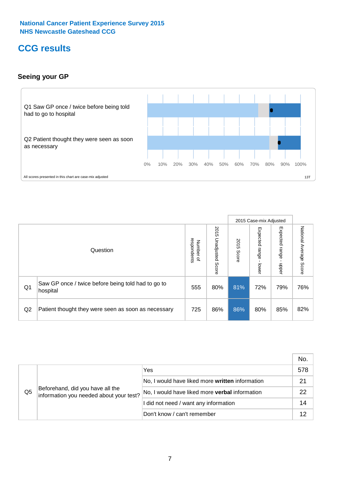## **CCG results**

#### **Seeing your GP**



|    |                                                                |                                              |                             |               | 2015 Case-mix Adjusted     |                            |                           |
|----|----------------------------------------------------------------|----------------------------------------------|-----------------------------|---------------|----------------------------|----------------------------|---------------------------|
|    | Question                                                       | respondents<br>Number<br>$\overline{\sigma}$ | 2015<br>Unadjusted<br>Score | 2015<br>Score | Expected<br>range<br>lower | Expected<br>range<br>nbber | National Average<br>Score |
| Q1 | Saw GP once / twice before being told had to go to<br>hospital | 555                                          | 80%                         | 81%           | 72%                        | 79%                        | 76%                       |
| Q2 | Patient thought they were seen as soon as necessary            | 725                                          | 86%                         | 86%           | 80%                        | 85%                        | 82%                       |

|    |                                                                             |                                                 | No. |
|----|-----------------------------------------------------------------------------|-------------------------------------------------|-----|
|    |                                                                             | Yes                                             | 578 |
|    | Beforehand, did you have all the<br>information you needed about your test? | No, I would have liked more written information | 21  |
| Q5 |                                                                             | No, I would have liked more verbal information  | 22  |
|    |                                                                             | I did not need / want any information           | 14  |
|    |                                                                             | Don't know / can't remember                     | 12  |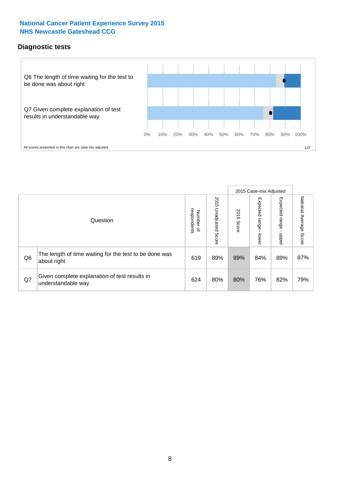#### **Diagnostic tests**



|                |                                                                       |                          |                             |               | 2015 Case-mix Adjusted  |                         |                           |
|----------------|-----------------------------------------------------------------------|--------------------------|-----------------------------|---------------|-------------------------|-------------------------|---------------------------|
|                | Question                                                              | Number of<br>respondents | 2015<br>Unadjusted<br>Score | 2015<br>Score | Expected range<br>lower | Expected range<br>nbber | National Average<br>Score |
| Q <sub>6</sub> | The length of time waiting for the test to be done was<br>about right | 619                      | 89%                         | 89%           | 84%                     | 89%                     | 87%                       |
| Q7             | Given complete explanation of test results in<br>understandable way   | 624                      | 80%                         | 80%           | 76%                     | 82%                     | 79%                       |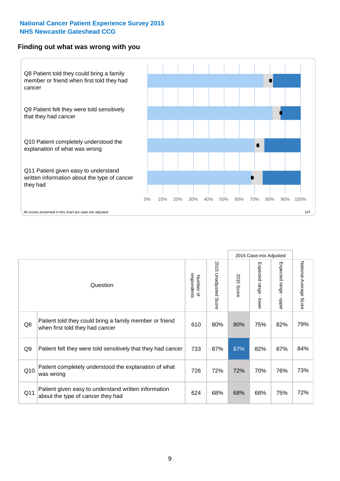#### **Finding out what was wrong with you**



|                |                                                                                            |                          |                                 |               | 2015 Case-mix Adjusted    |                                           |                        |
|----------------|--------------------------------------------------------------------------------------------|--------------------------|---------------------------------|---------------|---------------------------|-------------------------------------------|------------------------|
|                | Question                                                                                   | respondents<br>Number of | 2015<br><b>Unadjusted Score</b> | 2015<br>Score | Expected range -<br>lower | Expected range<br>$\blacksquare$<br>nbber | National Average Score |
| Q8             | Patient told they could bring a family member or friend<br>when first told they had cancer | 610                      | 80%                             | 80%           | 75%                       | 82%                                       | 79%                    |
| Q <sub>9</sub> | Patient felt they were told sensitively that they had cancer                               | 733                      | 87%                             | 87%           | 82%                       | 87%                                       | 84%                    |
| Q10            | Patient completely understood the explanation of what<br>was wrong                         | 726                      | 72%                             | 72%           | 70%                       | 76%                                       | 73%                    |
| Q11            | Patient given easy to understand written information<br>about the type of cancer they had  | 624                      | 68%                             | 68%           | 68%                       | 75%                                       | 72%                    |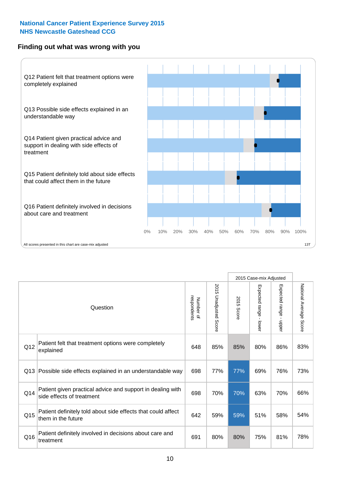#### **Finding out what was wrong with you**



|     |                                                                                         |                          |                                 |               | 2015 Case-mix Adjusted                  |                           |                        |
|-----|-----------------------------------------------------------------------------------------|--------------------------|---------------------------------|---------------|-----------------------------------------|---------------------------|------------------------|
|     | Question                                                                                | respondents<br>Number of | 2015<br><b>Unadjusted Score</b> | 2015<br>Score | Expected range<br>$\mathbf{r}$<br>lower | Expected range<br>- nbbeu | National Average Score |
| Q12 | Patient felt that treatment options were completely<br>explained                        | 648                      | 85%                             | 85%           | 80%                                     | 86%                       | 83%                    |
| Q13 | Possible side effects explained in an understandable way                                | 698                      | 77%                             | 77%           | 69%                                     | 76%                       | 73%                    |
| Q14 | Patient given practical advice and support in dealing with<br>side effects of treatment | 698                      | 70%                             | 70%           | 63%                                     | 70%                       | 66%                    |
| Q15 | Patient definitely told about side effects that could affect<br>them in the future      | 642                      | 59%                             | 59%           | 51%                                     | 58%                       | 54%                    |
| Q16 | Patient definitely involved in decisions about care and<br>treatment                    | 691                      | 80%                             | 80%           | 75%                                     | 81%                       | 78%                    |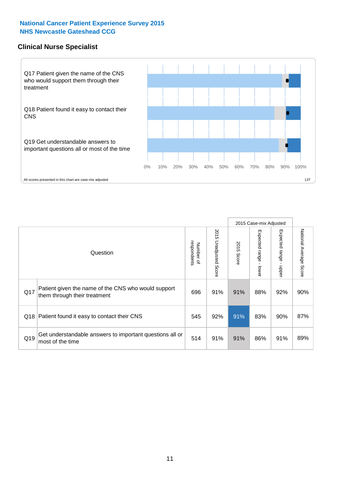#### **Clinical Nurse Specialist**



|     |                                                                                     |                          |                       |               | 2015 Case-mix Adjusted  |                         |                                  |
|-----|-------------------------------------------------------------------------------------|--------------------------|-----------------------|---------------|-------------------------|-------------------------|----------------------------------|
|     | Question                                                                            | respondents<br>Number of | 2015 Unadjusted Score | 2015<br>Score | Expected range<br>lower | Expected range<br>nbber | National Average<br><b>Score</b> |
| Q17 | Patient given the name of the CNS who would support<br>them through their treatment | 696                      | 91%                   | 91%           | 88%                     | 92%                     | 90%                              |
| Q18 | Patient found it easy to contact their CNS                                          | 545                      | 92%                   | 91%           | 83%                     | 90%                     | 87%                              |
| Q19 | Get understandable answers to important questions all or<br>most of the time        | 514                      | 91%                   | 91%           | 86%                     | 91%                     | 89%                              |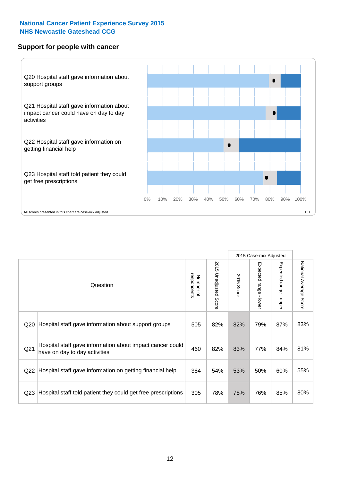#### **Support for people with cancer**



|                 |                                                                                            |                          |                                 |               | 2015 Case-mix Adjusted  |                                           |                        |
|-----------------|--------------------------------------------------------------------------------------------|--------------------------|---------------------------------|---------------|-------------------------|-------------------------------------------|------------------------|
|                 | Question                                                                                   | respondents<br>Number of | 2015<br><b>Unadjusted Score</b> | 2015<br>Score | Expected range<br>lower | Expected range<br>$\blacksquare$<br>nbber | National Average Score |
| Q <sub>20</sub> | Hospital staff gave information about support groups                                       | 505                      | 82%                             | 82%           | 79%                     | 87%                                       | 83%                    |
| Q <sub>21</sub> | Hospital staff gave information about impact cancer could<br>have on day to day activities | 460                      | 82%                             | 83%           | 77%                     | 84%                                       | 81%                    |
| Q22             | Hospital staff gave information on getting financial help                                  | 384                      | 54%                             | 53%           | 50%                     | 60%                                       | 55%                    |
| Q <sub>23</sub> | Hospital staff told patient they could get free prescriptions                              | 305                      | 78%                             | 78%           | 76%                     | 85%                                       | 80%                    |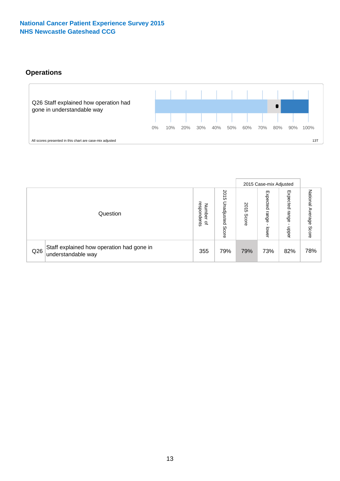### **Operations**



|     |                                                                 |                                              |                             |                   | 2015 Case-mix Adjusted     |                            |                              |
|-----|-----------------------------------------------------------------|----------------------------------------------|-----------------------------|-------------------|----------------------------|----------------------------|------------------------------|
|     | Question                                                        | respondents<br>Number<br>$\overline{\sigma}$ | 2015<br>Unadjusted<br>Score | 201<br>c<br>Score | Expected<br>range<br>lower | Expected<br>range<br>doper | National<br>Average<br>Score |
| Q26 | Staff explained how operation had gone in<br>understandable way | 355                                          | 79%                         | 79%               | 73%                        | 82%                        | 78%                          |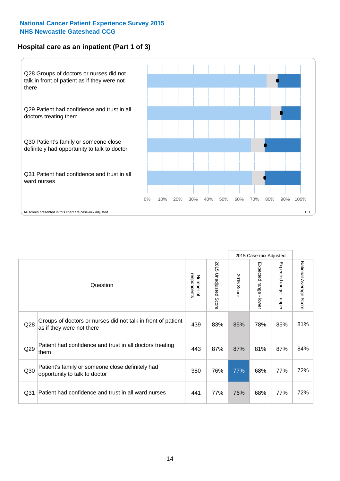#### **Hospital care as an inpatient (Part 1 of 3)**



All scores presented in this chart are case-mix adjusted  $\blacksquare$  and the second score in this chart are case-mix adjusted  $\blacksquare$ 

|                 |                                                                                           |                          |                          |                      | 2015 Case-mix Adjusted                  |                           |                        |
|-----------------|-------------------------------------------------------------------------------------------|--------------------------|--------------------------|----------------------|-----------------------------------------|---------------------------|------------------------|
|                 | Question                                                                                  | respondents<br>Number of | 2015<br>Unadjusted Score | 2015<br><b>Score</b> | Expected range<br>$\mathbf{r}$<br>lower | Expected range<br>- nbber | National Average Score |
| Q <sub>28</sub> | Groups of doctors or nurses did not talk in front of patient<br>as if they were not there | 439                      | 83%                      | 85%                  | 78%                                     | 85%                       | 81%                    |
| Q29             | Patient had confidence and trust in all doctors treating<br>them                          | 443                      | 87%                      | 87%                  | 81%                                     | 87%                       | 84%                    |
| Q30             | Patient's family or someone close definitely had<br>opportunity to talk to doctor         | 380                      | 76%                      | 77%                  | 68%                                     | 77%                       | 72%                    |
| Q <sub>31</sub> | Patient had confidence and trust in all ward nurses                                       | 441                      | 77%                      | 76%                  | 68%                                     | 77%                       | 72%                    |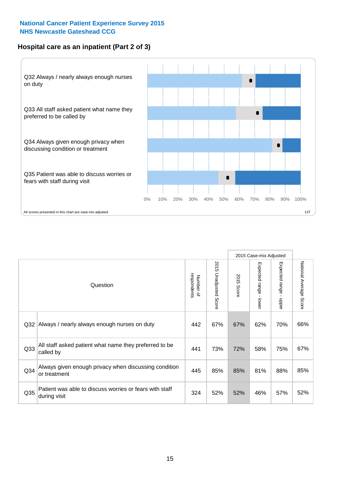#### **Hospital care as an inpatient (Part 2 of 3)**



|                 |                                                                         |                          |                                 |               | 2015 Case-mix Adjusted                    |                        |                        |
|-----------------|-------------------------------------------------------------------------|--------------------------|---------------------------------|---------------|-------------------------------------------|------------------------|------------------------|
|                 | Question                                                                | respondents<br>Number of | 2015<br><b>Unadjusted Score</b> | 2015<br>Score | Expected range<br>$\blacksquare$<br>lower | Expected range - upper | National Average Score |
| Q <sub>32</sub> | Always / nearly always enough nurses on duty                            | 442                      | 67%                             | 67%           | 62%                                       | 70%                    | 66%                    |
| Q <sub>33</sub> | All staff asked patient what name they preferred to be<br>called by     | 441                      | 73%                             | 72%           | 58%                                       | 75%                    | 67%                    |
| Q <sub>34</sub> | Always given enough privacy when discussing condition<br>or treatment   | 445                      | 85%                             | 85%           | 81%                                       | 88%                    | 85%                    |
| Q35             | Patient was able to discuss worries or fears with staff<br>during visit | 324                      | 52%                             | 52%           | 46%                                       | 57%                    | 52%                    |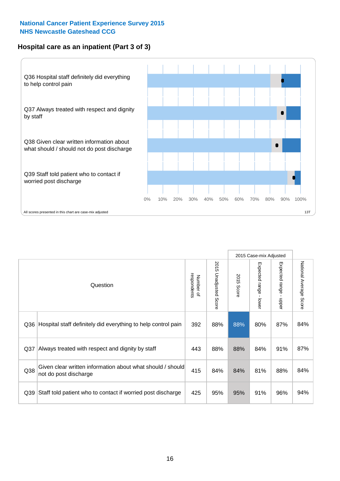#### **Hospital care as an inpatient (Part 3 of 3)**



|                 |                                                                                     |                          |                                 |               | 2015 Case-mix Adjusted                    |                                           |                        |
|-----------------|-------------------------------------------------------------------------------------|--------------------------|---------------------------------|---------------|-------------------------------------------|-------------------------------------------|------------------------|
|                 | Question                                                                            | respondents<br>Number of | 2015<br><b>Unadjusted Score</b> | 2015<br>Score | Expected range<br>$\blacksquare$<br>lower | Expected range<br>$\blacksquare$<br>nbber | National Average Score |
| Q36             | Hospital staff definitely did everything to help control pain                       | 392                      | 88%                             | 88%           | 80%                                       | 87%                                       | 84%                    |
| Q <sub>37</sub> | Always treated with respect and dignity by staff                                    | 443                      | 88%                             | 88%           | 84%                                       | 91%                                       | 87%                    |
| Q38             | Given clear written information about what should / should<br>not do post discharge | 415                      | 84%                             | 84%           | 81%                                       | 88%                                       | 84%                    |
| Q39             | Staff told patient who to contact if worried post discharge                         | 425                      | 95%                             | 95%           | 91%                                       | 96%                                       | 94%                    |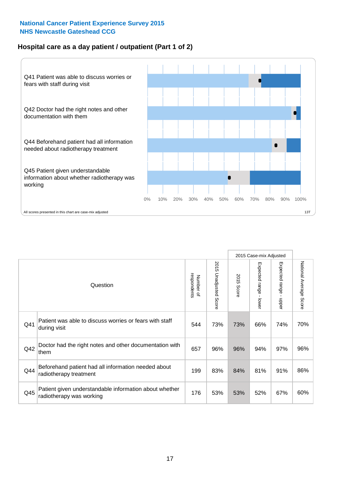#### **Hospital care as a day patient / outpatient (Part 1 of 2)**



|     |                                                                                    |                          |                                 |               | 2015 Case-mix Adjusted                  |                           |                        |
|-----|------------------------------------------------------------------------------------|--------------------------|---------------------------------|---------------|-----------------------------------------|---------------------------|------------------------|
|     | Question                                                                           | Number of<br>respondents | 2015<br><b>Unadjusted Score</b> | 2015<br>Score | Expected range<br>$\mathbf{r}$<br>lower | Expected range -<br>nbber | National Average Score |
| Q41 | Patient was able to discuss worries or fears with staff<br>during visit            | 544                      | 73%                             | 73%           | 66%                                     | 74%                       | 70%                    |
| Q42 | Doctor had the right notes and other documentation with<br>them                    | 657                      | 96%                             | 96%           | 94%                                     | 97%                       | 96%                    |
| Q44 | Beforehand patient had all information needed about<br>radiotherapy treatment      | 199                      | 83%                             | 84%           | 81%                                     | 91%                       | 86%                    |
| Q45 | Patient given understandable information about whether<br>radiotherapy was working | 176                      | 53%                             | 53%           | 52%                                     | 67%                       | 60%                    |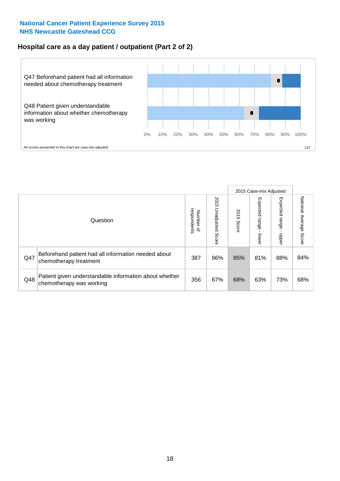### **Hospital care as a day patient / outpatient (Part 2 of 2)**



|     |                                                                                    |                                       |                             |               | 2015 Case-mix Adjusted      |                         |                           |
|-----|------------------------------------------------------------------------------------|---------------------------------------|-----------------------------|---------------|-----------------------------|-------------------------|---------------------------|
|     | Question                                                                           | respondents<br>Number<br>$\mathbf{Q}$ | 2015<br>Unadjusted<br>Score | 2015<br>Score | Expected<br>Irange<br>lower | Expected range<br>doper | National Average<br>Score |
| Q47 | Beforehand patient had all information needed about<br>chemotherapy treatment      | 387                                   | 86%                         | 85%           | 81%                         | 88%                     | 84%                       |
| Q48 | Patient given understandable information about whether<br>chemotherapy was working | 356                                   | 67%                         | 68%           | 63%                         | 73%                     | 68%                       |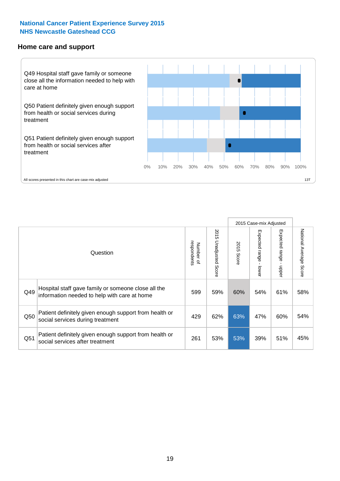#### **Home care and support**



2015 Case-mix Adjusted 2015 Unadjusted Score Expected range - upper National Average Score 2015 Unadjusted Score Expected range - lower National Average Score Expected range - lower Expected range - upper Number of<br>respondents respondents 2015 Score 2015 Score Number of Question Hospital staff gave family or someone close all the  $Q49$  information needed to help with care at home  $Q49$  59% 60% 54% 61% 58% Patient definitely given enough support from health or Q50 social services during treatment 200 and the case of the case of the case of the case of the case of the case of the case of the case of the case of the case of the case of the case of the case of the case of the case Patient definitely given enough support from health or Q51 social services after treatment<br>
Q51 53% 53% 39% 51% 45%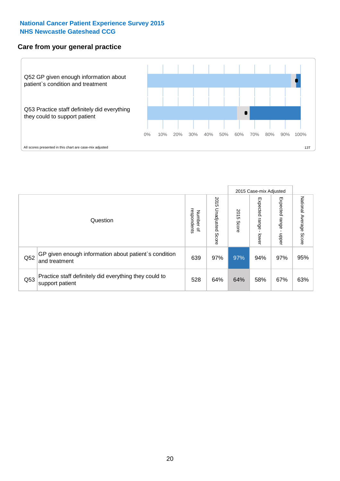#### **Care from your general practice**



|     |                                                                           |                                       |                             |               | 2015 Case-mix Adjusted       |                         |                           |
|-----|---------------------------------------------------------------------------|---------------------------------------|-----------------------------|---------------|------------------------------|-------------------------|---------------------------|
|     | Question                                                                  | respondents<br>Number<br>$\mathbf{Q}$ | 2015<br>Unadjusted<br>Score | 2015<br>Score | Expected<br>I range<br>lower | Expected range<br>doper | National Average<br>Score |
| Q52 | GP given enough information about patient's condition<br>and treatment    | 639                                   | 97%                         | 97%           | 94%                          | 97%                     | 95%                       |
| Q53 | Practice staff definitely did everything they could to<br>support patient | 528                                   | 64%                         | 64%           | 58%                          | 67%                     | 63%                       |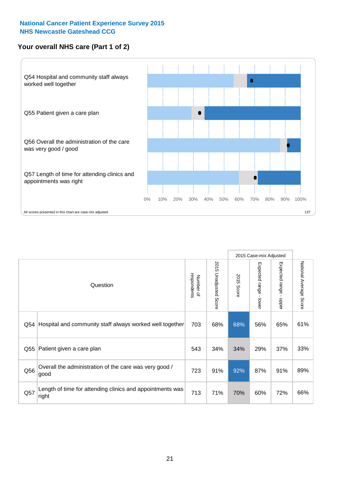#### **Your overall NHS care (Part 1 of 2)**



|     |                                                                    |                          |                          |               | 2015 Case-mix Adjusted                  |                                           |                        |
|-----|--------------------------------------------------------------------|--------------------------|--------------------------|---------------|-----------------------------------------|-------------------------------------------|------------------------|
|     | Question                                                           | respondents<br>Number of | 2015<br>Unadjusted Score | 2015<br>Score | Expected range<br>$\mathbf{I}$<br>lower | Expected range<br>$\blacksquare$<br>nbber | National Average Score |
| Q54 | Hospital and community staff always worked well together           | 703                      | 68%                      | 68%           | 56%                                     | 65%                                       | 61%                    |
| Q55 | Patient given a care plan                                          | 543                      | 34%                      | 34%           | 29%                                     | 37%                                       | 33%                    |
| Q56 | Overall the administration of the care was very good /<br>good     | 723                      | 91%                      | 92%           | 87%                                     | 91%                                       | 89%                    |
| Q57 | Length of time for attending clinics and appointments was<br>right | 713                      | 71%                      | 70%           | 60%                                     | 72%                                       | 66%                    |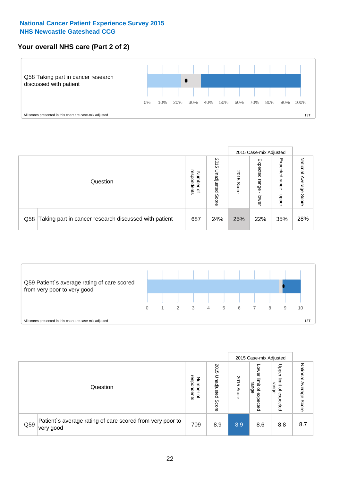#### **Your overall NHS care (Part 2 of 2)**



|     |                                                       |                                         |                             |               |                            | 2015 Case-mix Adjusted     |                           |
|-----|-------------------------------------------------------|-----------------------------------------|-----------------------------|---------------|----------------------------|----------------------------|---------------------------|
|     | Question                                              | respondents<br>Number<br>$\overline{a}$ | 2015<br>Unadjusted<br>Score | 2015<br>Score | Expected<br>range<br>lower | Expected<br>range<br>doper | National<br>Average Score |
| Q58 | Taking part in cancer research discussed with patient | 687                                     | 24%                         | 25%           | 22%                        | 35%                        | 28%                       |



|     |                                                                        |                                              | 2015 Case-mix Adjusted      |               |                                         |                                                       |                              |
|-----|------------------------------------------------------------------------|----------------------------------------------|-----------------------------|---------------|-----------------------------------------|-------------------------------------------------------|------------------------------|
|     | Question                                                               | respondents<br>Number<br>$\overline{\sigma}$ | 2015<br>Unadjusted<br>Score | 2015<br>Score | OWer<br>limit<br>range<br>٩<br>expected | Upper<br>limit<br>range<br>$\overline{a}$<br>expected | National<br>Average<br>Score |
| Q59 | Patient's average rating of care scored from very poor to<br>very good | 709                                          | 8.9                         | 8.9           | 8.6                                     | 8.8                                                   | 8.7                          |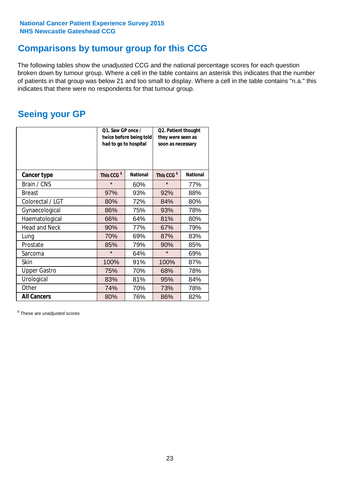### **Comparisons by tumour group for this CCG**

The following tables show the unadjusted CCG and the national percentage scores for each question broken down by tumour group. Where a cell in the table contains an asterisk this indicates that the number of patients in that group was below 21 and too small to display. Where a cell in the table contains "n.a." this indicates that there were no respondents for that tumour group.

### **Seeing your GP**

|                      | Q1. Saw GP once /<br>had to go to hospital | twice before being told | Q2. Patient thought<br>they were seen as<br>soon as necessary |                 |  |
|----------------------|--------------------------------------------|-------------------------|---------------------------------------------------------------|-----------------|--|
| <b>Cancer type</b>   | This CCG <sup>\$</sup>                     | <b>National</b>         | This CCG <sup>\$</sup>                                        | <b>National</b> |  |
| Brain / CNS          | $\star$                                    | 60%                     | $\star$                                                       | 77%             |  |
| <b>Breast</b>        | 97%                                        | 93%                     | 92%                                                           | 88%             |  |
| Colorectal / LGT     | 80%                                        | 72%                     | 84%                                                           | 80%             |  |
| Gynaecological       | 86%                                        | 75%                     | 93%                                                           | 78%             |  |
| Haematological       | 66%                                        | 64%                     | 81%                                                           | 80%             |  |
| <b>Head and Neck</b> | 90%                                        | 77%                     | 67%                                                           | 79%             |  |
| Lung                 | 70%                                        | 69%                     | 87%                                                           | 83%             |  |
| Prostate             | 85%                                        | 79%                     | 90%                                                           | 85%             |  |
| Sarcoma              | $\star$                                    | 64%                     | $\star$                                                       | 69%             |  |
| <b>Skin</b>          | 100%                                       | 91%                     | 100%                                                          | 87%             |  |
| <b>Upper Gastro</b>  | 75%                                        | 70%                     | 68%                                                           | 78%             |  |
| Urological           | 83%                                        | 81%                     | 95%                                                           | 84%             |  |
| Other                | 74%                                        | 70%                     | 73%                                                           | 78%             |  |
| <b>All Cancers</b>   | 80%                                        | 76%                     | 86%                                                           | 82%             |  |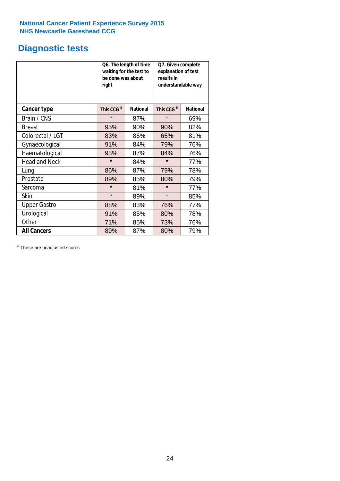### **Diagnostic tests**

|                      | be done was about<br>right | Q6. The length of time<br>waiting for the test to | Q7. Given complete<br>explanation of test<br>results in<br>understandable way |                 |  |  |
|----------------------|----------------------------|---------------------------------------------------|-------------------------------------------------------------------------------|-----------------|--|--|
| <b>Cancer type</b>   | This CCG <sup>\$</sup>     | <b>National</b>                                   | This CCG <sup>\$</sup>                                                        | <b>National</b> |  |  |
| Brain / CNS          | $\star$                    | 87%                                               | $\star$                                                                       | 69%             |  |  |
| <b>Breast</b>        | 95%                        | 90%                                               | 90%                                                                           | 82%             |  |  |
| Colorectal / LGT     | 83%                        | 86%                                               | 65%                                                                           | 81%             |  |  |
| Gynaecological       | 91%                        | 84%                                               | 79%                                                                           | 76%             |  |  |
| Haematological       | 93%                        | 87%                                               | 84%                                                                           | 76%             |  |  |
| <b>Head and Neck</b> | $\star$                    | 84%                                               | $\star$                                                                       | 77%             |  |  |
| Lung                 | 86%                        | 87%                                               | 79%                                                                           | 78%             |  |  |
| Prostate             | 89%                        | 85%                                               | 80%                                                                           | 79%             |  |  |
| Sarcoma              | $\star$                    | 81%                                               | $\star$                                                                       | 77%             |  |  |
| Skin                 | $\star$                    | 89%                                               | $\star$                                                                       | 85%             |  |  |
| <b>Upper Gastro</b>  | 88%                        | 83%                                               | 76%                                                                           | 77%             |  |  |
| Urological           | 91%                        | 85%                                               | 80%                                                                           | 78%             |  |  |
| Other                | 71%                        | 85%                                               | 73%                                                                           | 76%             |  |  |
| <b>All Cancers</b>   | 89%                        | 87%                                               | 80%                                                                           | 79%             |  |  |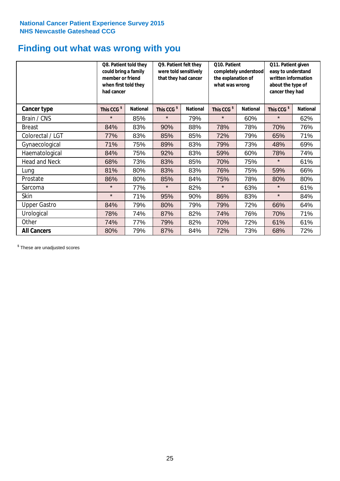### **Finding out what was wrong with you**

|                      | Q8. Patient told they<br>could bring a family<br>member or friend<br>when first told they<br>had cancer |                 | Q9. Patient felt they<br>were told sensitively<br>that they had cancer |                 | Q10. Patient<br>completely understood<br>the explanation of<br>what was wrong |                 | Q11. Patient given<br>easy to understand<br>written information<br>about the type of<br>cancer they had |                 |
|----------------------|---------------------------------------------------------------------------------------------------------|-----------------|------------------------------------------------------------------------|-----------------|-------------------------------------------------------------------------------|-----------------|---------------------------------------------------------------------------------------------------------|-----------------|
| Cancer type          | This CCG <sup>\$</sup>                                                                                  | <b>National</b> | This CCG <sup>\$</sup>                                                 | <b>National</b> | This CCG <sup>\$</sup>                                                        | <b>National</b> | This CCG <sup>\$</sup>                                                                                  | <b>National</b> |
| Brain / CNS          | $\star$                                                                                                 | 85%             | $\star$                                                                | 79%             | $\star$                                                                       | 60%             | $\star$                                                                                                 | 62%             |
| <b>Breast</b>        | 84%                                                                                                     | 83%             | 90%                                                                    | 88%             | 78%                                                                           | 78%             | 70%                                                                                                     | 76%             |
| Colorectal / LGT     | 77%                                                                                                     | 83%             | 85%                                                                    | 85%             | 72%                                                                           | 79%             | 65%                                                                                                     | 71%             |
| Gynaecological       | 71%                                                                                                     | 75%             | 89%                                                                    | 83%             | 79%                                                                           | 73%             | 48%                                                                                                     | 69%             |
| Haematological       | 84%                                                                                                     | 75%             | 92%                                                                    | 83%             | 59%                                                                           | 60%             | 78%                                                                                                     | 74%             |
| <b>Head and Neck</b> | 68%                                                                                                     | 73%             | 83%                                                                    | 85%             | 70%                                                                           | 75%             | $\star$                                                                                                 | 61%             |
| Lung                 | 81%                                                                                                     | 80%             | 83%                                                                    | 83%             | 76%                                                                           | 75%             | 59%                                                                                                     | 66%             |
| Prostate             | 86%                                                                                                     | 80%             | 85%                                                                    | 84%             | 75%                                                                           | 78%             | 80%                                                                                                     | 80%             |
| Sarcoma              | $\star$                                                                                                 | 77%             | $\star$                                                                | 82%             | $\star$                                                                       | 63%             | $\star$                                                                                                 | 61%             |
| Skin                 | $\star$                                                                                                 | 71%             | 95%                                                                    | 90%             | 86%                                                                           | 83%             | $\star$                                                                                                 | 84%             |
| <b>Upper Gastro</b>  | 84%                                                                                                     | 79%             | 80%                                                                    | 79%             | 79%                                                                           | 72%             | 66%                                                                                                     | 64%             |
| Urological           | 78%                                                                                                     | 74%             | 87%                                                                    | 82%             | 74%                                                                           | 76%             | 70%                                                                                                     | 71%             |
| Other                | 74%                                                                                                     | 77%             | 79%                                                                    | 82%             | 70%                                                                           | 72%             | 61%                                                                                                     | 61%             |
| <b>All Cancers</b>   | 80%                                                                                                     | 79%             | 87%                                                                    | 84%             | 72%                                                                           | 73%             | 68%                                                                                                     | 72%             |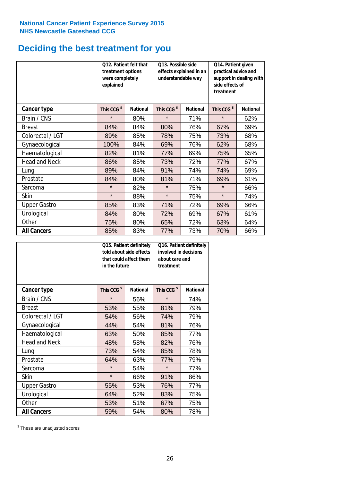### **Deciding the best treatment for you**

|                      | Q12. Patient felt that<br>treatment options<br>were completely<br>explained |                 | Q13. Possible side<br>understandable way | effects explained in an | Q14. Patient given<br>practical advice and<br>support in dealing with<br>side effects of<br>treatment |                 |  |
|----------------------|-----------------------------------------------------------------------------|-----------------|------------------------------------------|-------------------------|-------------------------------------------------------------------------------------------------------|-----------------|--|
| <b>Cancer type</b>   | This CCG <sup>\$</sup>                                                      | <b>National</b> | This CCG <sup>\$</sup>                   | <b>National</b>         | This CCG <sup>\$</sup>                                                                                | <b>National</b> |  |
| Brain / CNS          | $\star$                                                                     | 80%             | $\star$                                  | 71%                     | $\star$                                                                                               | 62%             |  |
| <b>Breast</b>        | 84%                                                                         | 84%             | 80%                                      | 76%                     | 67%                                                                                                   | 69%             |  |
| Colorectal / LGT     | 89%                                                                         | 85%             | 78%                                      | 75%                     | 73%                                                                                                   | 68%             |  |
| Gynaecological       | 100%                                                                        | 84%             | 69%                                      | 76%                     | 62%                                                                                                   | 68%             |  |
| Haematological       | 82%                                                                         | 81%             | 77%                                      | 69%                     | 75%                                                                                                   | 65%             |  |
| <b>Head and Neck</b> | 86%                                                                         | 85%             | 73%                                      | 72%                     | 77%                                                                                                   | 67%             |  |
| Lung                 | 89%                                                                         | 84%             | 91%                                      | 74%                     | 74%                                                                                                   | 69%             |  |
| Prostate             | 84%                                                                         | 80%             | 81%                                      | 71%                     | 69%                                                                                                   | 61%             |  |
| Sarcoma              | $\star$                                                                     | 82%             | $\star$                                  | 75%                     | $\star$                                                                                               | 66%             |  |
| Skin                 | $\star$                                                                     | 88%             | $\star$                                  | 75%                     | $\star$                                                                                               | 74%             |  |
| <b>Upper Gastro</b>  | 85%                                                                         | 83%             | 71%                                      | 72%                     | 69%                                                                                                   | 66%             |  |
| Urological           | 84%                                                                         | 80%             | 72%                                      | 69%                     | 67%                                                                                                   | 61%             |  |
| Other                | 75%                                                                         | 80%             | 65%                                      | 72%                     | 63%                                                                                                   | 64%             |  |
| <b>All Cancers</b>   | 85%                                                                         | 83%             | 77%                                      | 73%                     | 70%                                                                                                   | 66%             |  |

|                      | in the future          | Q15. Patient definitely<br>told about side effects<br>that could affect them | Q16. Patient definitely<br>involved in decisions<br>about care and<br>treatment |                 |  |
|----------------------|------------------------|------------------------------------------------------------------------------|---------------------------------------------------------------------------------|-----------------|--|
| <b>Cancer type</b>   | This CCG <sup>\$</sup> | <b>National</b>                                                              | This CCG <sup>\$</sup>                                                          | <b>National</b> |  |
| Brain / CNS          | $\star$                | 56%                                                                          | $\star$                                                                         | 74%             |  |
| <b>Breast</b>        | 53%                    | 55%                                                                          | 81%                                                                             | 79%             |  |
| Colorectal / LGT     | 54%                    | 56%                                                                          | 74%                                                                             | 79%             |  |
| Gynaecological       | 44%                    | 54%                                                                          | 81%                                                                             | 76%             |  |
| Haematological       | 63%                    | 50%                                                                          | 85%                                                                             | 77%             |  |
| <b>Head and Neck</b> | 48%                    | 58%                                                                          | 82%                                                                             | 76%             |  |
| Lung                 | 73%                    | 54%                                                                          | 85%                                                                             | 78%             |  |
| Prostate             | 64%                    | 63%                                                                          | 77%                                                                             | 79%             |  |
| Sarcoma              | $\star$                | 54%                                                                          | $\star$                                                                         | 77%             |  |
| Skin                 | $\star$                | 66%                                                                          | 91%                                                                             | 86%             |  |
| <b>Upper Gastro</b>  | 55%                    | 53%                                                                          | 76%                                                                             | 77%             |  |
| Urological           | 64%                    | 52%                                                                          | 83%                                                                             | 75%             |  |
| Other                | 53%                    | 51%                                                                          | 67%                                                                             | 75%             |  |
| <b>All Cancers</b>   | 59%                    | 54%                                                                          | 80%                                                                             | 78%             |  |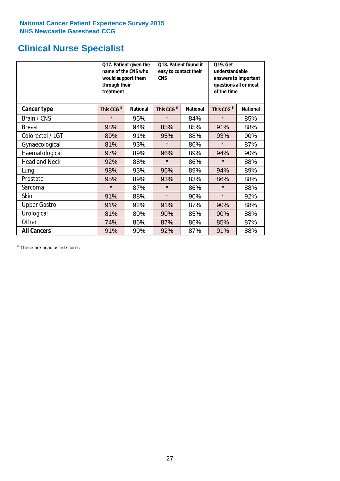### **Clinical Nurse Specialist**

|                      | would support them<br>through their<br>treatment | Q17. Patient given the<br>name of the CNS who | Q18. Patient found it<br>easy to contact their<br><b>CNS</b> |                 | <b>Q19. Get</b><br>understandable<br>answers to important<br>questions all or most<br>of the time |                 |  |
|----------------------|--------------------------------------------------|-----------------------------------------------|--------------------------------------------------------------|-----------------|---------------------------------------------------------------------------------------------------|-----------------|--|
| <b>Cancer type</b>   | This CCG <sup>\$</sup>                           | <b>National</b>                               | This CCG <sup>\$</sup>                                       | <b>National</b> | This CCG <sup>\$</sup>                                                                            | <b>National</b> |  |
| Brain / CNS          | $\star$                                          | 95%                                           | $\star$                                                      | 84%             | $\star$                                                                                           | 85%             |  |
| <b>Breast</b>        | 98%                                              | 94%                                           | 85%                                                          | 85%             | 91%                                                                                               | 88%             |  |
| Colorectal / LGT     | 89%                                              | 91%                                           | 95%                                                          | 88%             | 93%                                                                                               | 90%             |  |
| Gynaecological       | 81%                                              | 93%                                           | $\star$                                                      | 86%             | $\star$                                                                                           | 87%             |  |
| Haematological       | 97%                                              | 89%                                           | 96%                                                          | 89%             | 94%                                                                                               | 90%             |  |
| <b>Head and Neck</b> | 92%                                              | 88%                                           | $\star$                                                      | 86%             | $\star$                                                                                           | 88%             |  |
| Lung                 | 98%                                              | 93%                                           | 96%                                                          | 89%             | 94%                                                                                               | 89%             |  |
| Prostate             | 95%                                              | 89%                                           | 93%                                                          | 83%             | 86%                                                                                               | 88%             |  |
| Sarcoma              | $\star$                                          | 87%                                           | $\star$                                                      | 86%             | $\star$                                                                                           | 88%             |  |
| Skin                 | 91%                                              | 88%                                           | $\star$                                                      | 90%             | $\star$                                                                                           | 92%             |  |
| <b>Upper Gastro</b>  | 91%                                              | 92%                                           | 91%                                                          | 87%             | 90%                                                                                               | 88%             |  |
| Urological           | 81%                                              | 80%                                           | 90%                                                          | 85%             | 90%                                                                                               | 88%             |  |
| Other                | 74%                                              | 86%                                           | 87%                                                          | 86%             | 85%                                                                                               | 87%             |  |
| <b>All Cancers</b>   | 91%                                              | 90%                                           | 92%                                                          | 87%             | 91%                                                                                               | 88%             |  |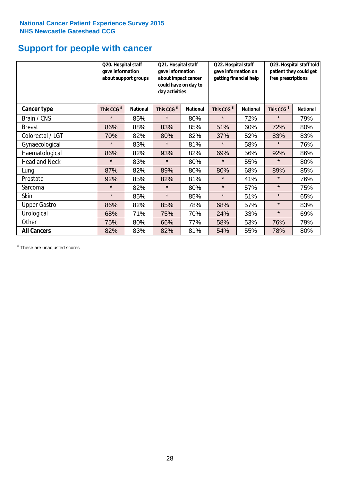### **Support for people with cancer**

|                      | Q20. Hospital staff<br>gave information | about support groups | Q21. Hospital staff<br>gave information<br>about impact cancer<br>could have on day to<br>day activities |                 | Q22. Hospital staff<br>gave information on<br>getting financial help |                 | Q23. Hospital staff told<br>patient they could get<br>free prescriptions |                 |
|----------------------|-----------------------------------------|----------------------|----------------------------------------------------------------------------------------------------------|-----------------|----------------------------------------------------------------------|-----------------|--------------------------------------------------------------------------|-----------------|
| <b>Cancer type</b>   | This CCG <sup>\$</sup>                  | <b>National</b>      | This CCG <sup>\$</sup>                                                                                   | <b>National</b> | This CCG <sup>\$</sup>                                               | <b>National</b> | This CCG <sup>\$</sup>                                                   | <b>National</b> |
| Brain / CNS          | $\star$                                 | 85%                  | $\star$                                                                                                  | 80%             | $\star$                                                              | 72%             | $\star$                                                                  | 79%             |
| <b>Breast</b>        | 86%                                     | 88%                  | 83%                                                                                                      | 85%             | 51%                                                                  | 60%             | 72%                                                                      | 80%             |
| Colorectal / LGT     | 70%                                     | 82%                  | 80%                                                                                                      | 82%             | 37%                                                                  | 52%             | 83%                                                                      | 83%             |
| Gynaecological       | $\star$                                 | 83%                  | $\star$                                                                                                  | 81%             | $\star$                                                              | 58%             | $\star$                                                                  | 76%             |
| Haematological       | 86%                                     | 82%                  | 93%                                                                                                      | 82%             | 69%                                                                  | 56%             | 92%                                                                      | 86%             |
| <b>Head and Neck</b> | $\star$                                 | 83%                  | $\star$                                                                                                  | 80%             | $\star$                                                              | 55%             | $\star$                                                                  | 80%             |
| Lung                 | 87%                                     | 82%                  | 89%                                                                                                      | 80%             | 80%                                                                  | 68%             | 89%                                                                      | 85%             |
| Prostate             | 92%                                     | 85%                  | 82%                                                                                                      | 81%             | $\star$                                                              | 41%             | $\star$                                                                  | 76%             |
| Sarcoma              | $\star$                                 | 82%                  | $\star$                                                                                                  | 80%             | $\star$                                                              | 57%             | $\star$                                                                  | 75%             |
| Skin                 | $\star$                                 | 85%                  | $\star$                                                                                                  | 85%             | $\star$                                                              | 51%             | $\star$                                                                  | 65%             |
| <b>Upper Gastro</b>  | 86%                                     | 82%                  | 85%                                                                                                      | 78%             | 68%                                                                  | 57%             | $\star$                                                                  | 83%             |
| Urological           | 68%                                     | 71%                  | 75%                                                                                                      | 70%             | 24%                                                                  | 33%             | $\star$                                                                  | 69%             |
| Other                | 75%                                     | 80%                  | 66%                                                                                                      | 77%             | 58%                                                                  | 53%             | 76%                                                                      | 79%             |
| <b>All Cancers</b>   | 82%                                     | 83%                  | 82%                                                                                                      | 81%             | 54%                                                                  | 55%             | 78%                                                                      | 80%             |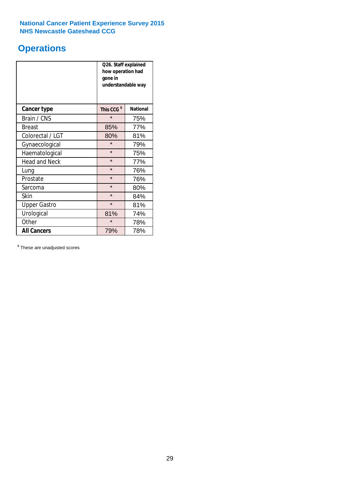### **Operations**

|                      | Q26. Staff explained<br>how operation had<br>gone in<br>understandable way |                 |  |  |
|----------------------|----------------------------------------------------------------------------|-----------------|--|--|
| <b>Cancer type</b>   | This CCG <sup>\$</sup>                                                     | <b>National</b> |  |  |
| Brain / CNS          | $\star$                                                                    | 75%             |  |  |
| <b>Breast</b>        | 85%                                                                        | 77%             |  |  |
| Colorectal / LGT     | 80%                                                                        | 81%             |  |  |
| Gynaecological       | $\star$                                                                    | 79%             |  |  |
| Haematological       | $\star$                                                                    | 75%             |  |  |
| <b>Head and Neck</b> | $\star$                                                                    | 77%             |  |  |
| Lung                 | $\star$                                                                    | 76%             |  |  |
| Prostate             | $\star$                                                                    | 76%             |  |  |
| Sarcoma              | $\star$                                                                    | 80%             |  |  |
| Skin                 | $\star$                                                                    | 84%             |  |  |
| <b>Upper Gastro</b>  | $\star$                                                                    | 81%             |  |  |
| Urological           | 81%                                                                        | 74%             |  |  |
| Other                | $\star$                                                                    | 78%             |  |  |
| <b>All Cancers</b>   | 79%                                                                        | 78%             |  |  |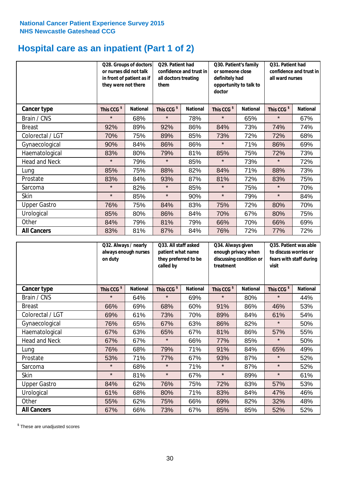# **Hospital care as an inpatient (Part 1 of 2)**

|                      | or nurses did not talk<br>they were not there | Q28. Groups of doctors<br>in front of patient as if | Q29. Patient had<br>confidence and trust in<br>all doctors treating<br>them |                 | Q30. Patient's family<br>or someone close<br>definitely had<br>opportunity to talk to<br>doctor |                 | Q31. Patient had<br>confidence and trust in I<br>all ward nurses |                 |
|----------------------|-----------------------------------------------|-----------------------------------------------------|-----------------------------------------------------------------------------|-----------------|-------------------------------------------------------------------------------------------------|-----------------|------------------------------------------------------------------|-----------------|
| Cancer type          | This CCG <sup>\$</sup>                        | <b>National</b>                                     | This CCG <sup>\$</sup>                                                      | <b>National</b> | This CCG <sup>\$</sup>                                                                          | <b>National</b> | This CCG <sup>\$</sup>                                           | <b>National</b> |
| Brain / CNS          | $\star$                                       | 68%                                                 | $\star$                                                                     | 78%             | $\star$                                                                                         | 65%             | $\star$                                                          | 67%             |
| <b>Breast</b>        | 92%                                           | 89%                                                 | 92%                                                                         | 86%             | 84%                                                                                             | 73%             | 74%                                                              | 74%             |
| Colorectal / LGT     | 70%                                           | 75%                                                 | 89%                                                                         | 85%             | 73%                                                                                             | 72%             | 72%                                                              | 68%             |
| Gynaecological       | 90%                                           | 84%                                                 | 86%                                                                         | 86%             | $\star$                                                                                         | 71%             | 86%                                                              | 69%             |
| Haematological       | 83%                                           | 80%                                                 | 79%                                                                         | 81%             | 85%                                                                                             | 75%             | 72%                                                              | 73%             |
| <b>Head and Neck</b> | $\star$                                       | 79%                                                 | $\star$                                                                     | 85%             | $\star$                                                                                         | 73%             | $\star$                                                          | 72%             |
| Lung                 | 85%                                           | 75%                                                 | 88%                                                                         | 82%             | 84%                                                                                             | 71%             | 88%                                                              | 73%             |
| Prostate             | 83%                                           | 84%                                                 | 93%                                                                         | 87%             | 81%                                                                                             | 72%             | 83%                                                              | 75%             |
| Sarcoma              | $\star$                                       | 82%                                                 | $\star$                                                                     | 85%             | $\star$                                                                                         | 75%             | $\star$                                                          | 70%             |
| Skin                 | $\star$                                       | 85%                                                 | $\star$                                                                     | 90%             | $\star$                                                                                         | 79%             | $\star$                                                          | 84%             |
| <b>Upper Gastro</b>  | 76%                                           | 75%                                                 | 84%                                                                         | 83%             | 75%                                                                                             | 72%             | 80%                                                              | 70%             |
| Urological           | 85%                                           | 80%                                                 | 86%                                                                         | 84%             | 70%                                                                                             | 67%             | 80%                                                              | 75%             |
| Other                | 84%                                           | 79%                                                 | 81%                                                                         | 79%             | 66%                                                                                             | 70%             | 66%                                                              | 69%             |
| <b>All Cancers</b>   | 83%                                           | 81%                                                 | 87%                                                                         | 84%             | 76%                                                                                             | 72%             | 77%                                                              | 72%             |

|                      | Q32. Always / nearly<br>always enough nurses<br>on duty |                 | Q33. All staff asked<br>patient what name<br>they preferred to be<br>called by |                 | Q34. Always given<br>enough privacy when<br>discussing condition or<br>treatment |                 | Q35. Patient was able<br>to discuss worries or<br>fears with staff during<br>visit |                 |
|----------------------|---------------------------------------------------------|-----------------|--------------------------------------------------------------------------------|-----------------|----------------------------------------------------------------------------------|-----------------|------------------------------------------------------------------------------------|-----------------|
| <b>Cancer type</b>   | This CCG <sup>\$</sup>                                  | <b>National</b> | This CCG <sup>\$</sup>                                                         | <b>National</b> | This CCG <sup>\$</sup>                                                           | <b>National</b> | This CCG <sup>\$</sup>                                                             | <b>National</b> |
| Brain / CNS          | $\star$                                                 | 64%             | $\star$                                                                        | 69%             | $\star$                                                                          | 80%             | $\star$                                                                            | 44%             |
| <b>Breast</b>        | 66%                                                     | 69%             | 68%                                                                            | 60%             | 91%                                                                              | 86%             | 46%                                                                                | 53%             |
| Colorectal / LGT     | 69%                                                     | 61%             | 73%                                                                            | 70%             | 89%                                                                              | 84%             | 61%                                                                                | 54%             |
| Gynaecological       | 76%                                                     | 65%             | 67%                                                                            | 63%             | 86%                                                                              | 82%             | $\star$                                                                            | 50%             |
| Haematological       | 67%                                                     | 63%             | 65%                                                                            | 67%             | 81%                                                                              | 86%             | 57%                                                                                | 55%             |
| <b>Head and Neck</b> | 67%                                                     | 67%             | $\star$                                                                        | 66%             | 77%                                                                              | 85%             | $\star$                                                                            | 50%             |
| Lung                 | 76%                                                     | 68%             | 79%                                                                            | 71%             | 91%                                                                              | 84%             | 65%                                                                                | 49%             |
| Prostate             | 53%                                                     | 71%             | 77%                                                                            | 67%             | 93%                                                                              | 87%             | $\star$                                                                            | 52%             |
| Sarcoma              | $\star$                                                 | 68%             | $\star$                                                                        | 71%             | $\star$                                                                          | 87%             | $\star$                                                                            | 52%             |
| Skin                 | $\star$                                                 | 81%             | $\star$                                                                        | 67%             | $\star$                                                                          | 89%             | $\star$                                                                            | 61%             |
| <b>Upper Gastro</b>  | 84%                                                     | 62%             | 76%                                                                            | 75%             | 72%                                                                              | 83%             | 57%                                                                                | 53%             |
| Urological           | 61%                                                     | 68%             | 80%                                                                            | 71%             | 83%                                                                              | 84%             | 47%                                                                                | 46%             |
| Other                | 55%                                                     | 62%             | 75%                                                                            | 66%             | 69%                                                                              | 82%             | 32%                                                                                | 48%             |
| <b>All Cancers</b>   | 67%                                                     | 66%             | 73%                                                                            | 67%             | 85%                                                                              | 85%             | 52%                                                                                | 52%             |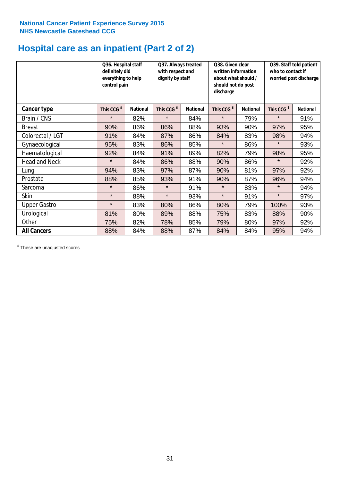# **Hospital care as an inpatient (Part 2 of 2)**

|                      | Q36. Hospital staff<br>definitely did<br>everything to help<br>control pain |                 | Q37. Always treated<br>with respect and<br>dignity by staff |                 | Q38. Given clear<br>written information<br>about what should /<br>should not do post<br>discharge |                 | Q39. Staff told patient<br>who to contact if<br>worried post discharge |                 |
|----------------------|-----------------------------------------------------------------------------|-----------------|-------------------------------------------------------------|-----------------|---------------------------------------------------------------------------------------------------|-----------------|------------------------------------------------------------------------|-----------------|
| Cancer type          | This CCG <sup>\$</sup>                                                      | <b>National</b> | This CCG <sup>\$</sup>                                      | <b>National</b> | This CCG <sup>\$</sup>                                                                            | <b>National</b> | This CCG <sup>\$</sup>                                                 | <b>National</b> |
| Brain / CNS          | $\star$                                                                     | 82%             | $\star$                                                     | 84%             | $\star$                                                                                           | 79%             | $\star$                                                                | 91%             |
| <b>Breast</b>        | 90%                                                                         | 86%             | 86%                                                         | 88%             | 93%                                                                                               | 90%             | 97%                                                                    | 95%             |
| Colorectal / LGT     | 91%                                                                         | 84%             | 87%                                                         | 86%             | 84%                                                                                               | 83%             | 98%                                                                    | 94%             |
| Gynaecological       | 95%                                                                         | 83%             | 86%                                                         | 85%             | $\star$                                                                                           | 86%             | $\star$                                                                | 93%             |
| Haematological       | 92%                                                                         | 84%             | 91%                                                         | 89%             | 82%                                                                                               | 79%             | 98%                                                                    | 95%             |
| <b>Head and Neck</b> | $\star$                                                                     | 84%             | 86%                                                         | 88%             | 90%                                                                                               | 86%             | $\star$                                                                | 92%             |
| Lung                 | 94%                                                                         | 83%             | 97%                                                         | 87%             | 90%                                                                                               | 81%             | 97%                                                                    | 92%             |
| Prostate             | 88%                                                                         | 85%             | 93%                                                         | 91%             | 90%                                                                                               | 87%             | 96%                                                                    | 94%             |
| Sarcoma              | $\star$                                                                     | 86%             | $\star$                                                     | 91%             | $\star$                                                                                           | 83%             | $\star$                                                                | 94%             |
| Skin                 | $\star$                                                                     | 88%             | $\star$                                                     | 93%             | $\star$                                                                                           | 91%             | $\star$                                                                | 97%             |
| <b>Upper Gastro</b>  | $\star$                                                                     | 83%             | 80%                                                         | 86%             | 80%                                                                                               | 79%             | 100%                                                                   | 93%             |
| Urological           | 81%                                                                         | 80%             | 89%                                                         | 88%             | 75%                                                                                               | 83%             | 88%                                                                    | 90%             |
| Other                | 75%                                                                         | 82%             | 78%                                                         | 85%             | 79%                                                                                               | 80%             | 97%                                                                    | 92%             |
| <b>All Cancers</b>   | 88%                                                                         | 84%             | 88%                                                         | 87%             | 84%                                                                                               | 84%             | 95%                                                                    | 94%             |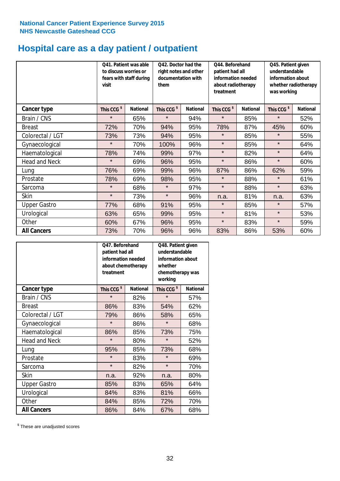# **Hospital care as a day patient / outpatient**

|                      | to discuss worries or<br>visit | Q41. Patient was able<br>fears with staff during | Q42. Doctor had the<br>right notes and other<br>documentation with<br>them |                 | Q44. Beforehand<br>patient had all<br>information needed<br>about radiotherapy<br>treatment |                 | Q45. Patient given<br>understandable<br>information about<br>whether radiotherapy<br>was working |                 |
|----------------------|--------------------------------|--------------------------------------------------|----------------------------------------------------------------------------|-----------------|---------------------------------------------------------------------------------------------|-----------------|--------------------------------------------------------------------------------------------------|-----------------|
| Cancer type          | This CCG <sup>\$</sup>         | <b>National</b>                                  | This CCG <sup>\$</sup>                                                     | <b>National</b> | This CCG <sup>\$</sup>                                                                      | <b>National</b> | This CCG <sup>\$</sup>                                                                           | <b>National</b> |
| Brain / CNS          | $\star$                        | 65%                                              | $\star$                                                                    | 94%             | $\star$                                                                                     | 85%             | $\star$                                                                                          | 52%             |
| <b>Breast</b>        | 72%                            | 70%                                              | 94%                                                                        | 95%             | 78%                                                                                         | 87%             | 45%                                                                                              | 60%             |
| Colorectal / LGT     | 73%                            | 73%                                              | 94%                                                                        | 95%             | $\star$                                                                                     | 85%             | $\star$                                                                                          | 55%             |
| Gynaecological       | $\star$                        | 70%                                              | 100%                                                                       | 96%             | $\star$                                                                                     | 85%             | $\star$                                                                                          | 64%             |
| Haematological       | 78%                            | 74%                                              | 99%                                                                        | 97%             | $\star$                                                                                     | 82%             | $\star$                                                                                          | 64%             |
| <b>Head and Neck</b> | $\star$                        | 69%                                              | 96%                                                                        | 95%             | $\star$                                                                                     | 86%             | $\star$                                                                                          | 60%             |
| Lung                 | 76%                            | 69%                                              | 99%                                                                        | 96%             | 87%                                                                                         | 86%             | 62%                                                                                              | 59%             |
| Prostate             | 78%                            | 69%                                              | 98%                                                                        | 95%             | $\star$                                                                                     | 88%             | $\star$                                                                                          | 61%             |
| Sarcoma              | $\star$                        | 68%                                              | $\star$                                                                    | 97%             | $\star$                                                                                     | 88%             | $\star$                                                                                          | 63%             |
| Skin                 | $\star$                        | 73%                                              | $\star$                                                                    | 96%             | n.a.                                                                                        | 81%             | n.a.                                                                                             | 63%             |
| <b>Upper Gastro</b>  | 77%                            | 68%                                              | 91%                                                                        | 95%             | $\star$                                                                                     | 85%             | $\star$                                                                                          | 57%             |
| Urological           | 63%                            | 65%                                              | 99%                                                                        | 95%             | $\star$                                                                                     | 81%             | $\star$                                                                                          | 53%             |
| Other                | 60%                            | 67%                                              | 96%                                                                        | 95%             | $\star$                                                                                     | 83%             | $\star$                                                                                          | 59%             |
| <b>All Cancers</b>   | 73%                            | 70%                                              | 96%                                                                        | 96%             | 83%                                                                                         | 86%             | 53%                                                                                              | 60%             |

|                      | O47. Beforehand<br>patient had all<br>information needed<br>about chemotherapy<br>treatment |                 | Q48. Patient given<br>understandable<br>information about<br>whether<br>chemotherapy was<br>working |                 |  |
|----------------------|---------------------------------------------------------------------------------------------|-----------------|-----------------------------------------------------------------------------------------------------|-----------------|--|
| <b>Cancer type</b>   | This CCG <sup>\$</sup>                                                                      | <b>National</b> | This CCG <sup>\$</sup>                                                                              | <b>National</b> |  |
| Brain / CNS          | $\star$                                                                                     | 82%             | $\star$                                                                                             | 57%             |  |
| <b>Breast</b>        | 86%                                                                                         | 83%             | 54%                                                                                                 | 62%             |  |
| Colorectal / LGT     | 79%                                                                                         | 86%             | 58%                                                                                                 | 65%             |  |
| Gynaecological       | $\star$                                                                                     | 86%             | $\star$                                                                                             | 68%             |  |
| Haematological       | 86%                                                                                         | 85%             | 73%                                                                                                 | 75%             |  |
| <b>Head and Neck</b> | $\star$                                                                                     | 80%             | $\star$                                                                                             | 52%             |  |
| Lung                 | 95%                                                                                         | 85%             | 73%                                                                                                 | 68%             |  |
| Prostate             | $\star$                                                                                     | 83%             | $\star$                                                                                             | 69%             |  |
| Sarcoma              | $\star$                                                                                     | 82%             | $\star$                                                                                             | 70%             |  |
| Skin                 | n.a.                                                                                        | 92%             | n.a.                                                                                                | 80%             |  |
| <b>Upper Gastro</b>  | 85%                                                                                         | 83%             | 65%                                                                                                 | 64%             |  |
| Urological           | 84%                                                                                         | 83%             | 81%                                                                                                 | 66%             |  |
| Other                | 84%                                                                                         | 85%             | 72%                                                                                                 | 70%             |  |
| <b>All Cancers</b>   | 86%                                                                                         | 84%             | 67%                                                                                                 | 68%             |  |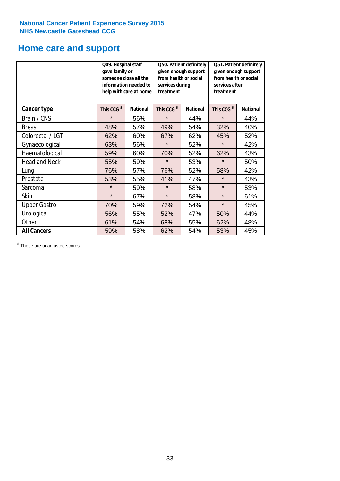# **Home care and support**

|                      | Q49. Hospital staff<br>gave family or | someone close all the<br>information needed to<br>help with care at home | Q50. Patient definitely<br>given enough support<br>from health or social<br>services during<br>treatment |                        | Q51. Patient definitely<br>given enough support<br>from health or social<br>services after<br>treatment |     |
|----------------------|---------------------------------------|--------------------------------------------------------------------------|----------------------------------------------------------------------------------------------------------|------------------------|---------------------------------------------------------------------------------------------------------|-----|
| <b>Cancer type</b>   | This CCG <sup>\$</sup>                | This CCG <sup>\$</sup><br><b>National</b><br><b>National</b>             |                                                                                                          | This CCG <sup>\$</sup> | <b>National</b>                                                                                         |     |
| Brain / CNS          | $\star$                               | 56%                                                                      | $\star$                                                                                                  | 44%                    | $\star$                                                                                                 | 44% |
| <b>Breast</b>        | 48%                                   | 57%                                                                      | 49%                                                                                                      | 54%                    | 32%                                                                                                     | 40% |
| Colorectal / LGT     | 62%                                   | 60%                                                                      | 67%                                                                                                      | 62%                    | 45%                                                                                                     | 52% |
| Gynaecological       | 63%                                   | 56%                                                                      | $\star$                                                                                                  | 52%                    | $\star$                                                                                                 | 42% |
| Haematological       | 59%                                   | 60%                                                                      | 70%                                                                                                      | 52%                    | 62%                                                                                                     | 43% |
| <b>Head and Neck</b> | 55%                                   | 59%                                                                      | $\star$                                                                                                  | 53%                    | $\star$                                                                                                 | 50% |
| Lung                 | 76%                                   | 57%                                                                      | 76%                                                                                                      | 52%                    | 58%                                                                                                     | 42% |
| Prostate             | 53%                                   | 55%                                                                      | 41%                                                                                                      | 47%                    | $\star$                                                                                                 | 43% |
| Sarcoma              | $\star$                               | 59%                                                                      | $\star$                                                                                                  | 58%                    | $\star$                                                                                                 | 53% |
| Skin                 | $\star$                               | 67%                                                                      | $\star$                                                                                                  | 58%                    | $\star$                                                                                                 | 61% |
| <b>Upper Gastro</b>  | 70%                                   | 59%                                                                      | 72%                                                                                                      | 54%                    | $\star$                                                                                                 | 45% |
| Urological           | 56%                                   | 55%                                                                      | 52%                                                                                                      | 47%                    | 50%                                                                                                     | 44% |
| Other                | 61%                                   | 54%                                                                      | 68%                                                                                                      | 55%                    | 62%                                                                                                     | 48% |
| <b>All Cancers</b>   | 59%                                   | 58%                                                                      | 62%                                                                                                      | 54%                    | 53%                                                                                                     | 45% |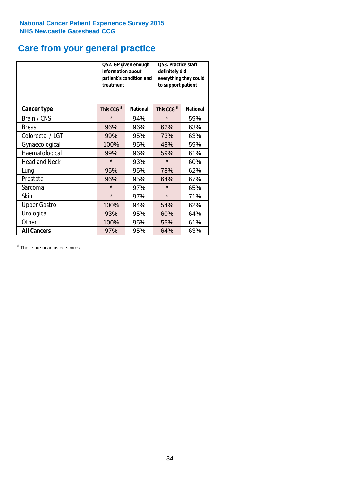### **Care from your general practice**

|                      | information about<br>treatment | Q52. GP given enough<br>patient's condition and | O53. Practice staff<br>definitely did<br>everything they could<br>to support patient |                 |  |
|----------------------|--------------------------------|-------------------------------------------------|--------------------------------------------------------------------------------------|-----------------|--|
| <b>Cancer type</b>   | This CCG <sup>\$</sup>         | <b>National</b>                                 | This CCG <sup>\$</sup>                                                               | <b>National</b> |  |
| Brain / CNS          | $\star$                        | 94%                                             | $\star$                                                                              | 59%             |  |
| <b>Breast</b>        | 96%                            | 96%                                             | 62%                                                                                  | 63%             |  |
| Colorectal / LGT     | 99%                            | 95%                                             | 73%                                                                                  | 63%             |  |
| Gynaecological       | 100%                           | 95%                                             | 48%                                                                                  | 59%             |  |
| Haematological       | 99%                            | 96%                                             | 59%                                                                                  | 61%             |  |
| <b>Head and Neck</b> | $\star$                        | 93%                                             | $\star$                                                                              | 60%             |  |
| Lung                 | 95%                            | 95%                                             | 78%                                                                                  | 62%             |  |
| Prostate             | 96%                            | 95%                                             | 64%                                                                                  | 67%             |  |
| Sarcoma              | $\star$                        | 97%                                             | $\star$                                                                              | 65%             |  |
| Skin                 | $\star$                        | 97%                                             | $\star$                                                                              | 71%             |  |
| <b>Upper Gastro</b>  | 100%                           | 94%                                             | 54%                                                                                  | 62%             |  |
| Urological           | 93%                            | 95%                                             | 60%                                                                                  | 64%             |  |
| Other                | 100%                           | 95%                                             | 55%                                                                                  | 61%             |  |
| <b>All Cancers</b>   | 97%                            | 95%                                             | 64%                                                                                  | 63%             |  |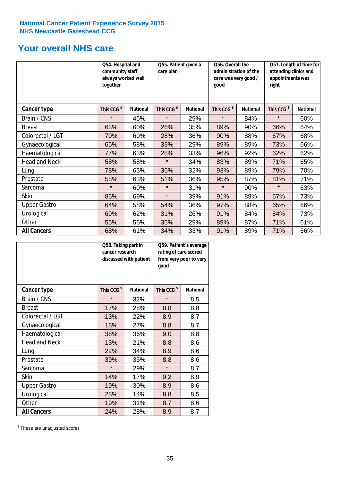### **Your overall NHS care**

|                      | Q54. Hospital and<br>community staff<br>always worked well<br>together |                 | Q55. Patient given a<br>care plan |                 | Q56. Overall the<br>administration of the<br>care was very good /<br>qood |                 | Q57. Length of time for<br>attending clinics and<br>appointments was<br>right |                 |
|----------------------|------------------------------------------------------------------------|-----------------|-----------------------------------|-----------------|---------------------------------------------------------------------------|-----------------|-------------------------------------------------------------------------------|-----------------|
| <b>Cancer type</b>   | This CCG <sup>\$</sup>                                                 | <b>National</b> | This CCG <sup>\$</sup>            | <b>National</b> | This CCG <sup>\$</sup>                                                    | <b>National</b> | This CCG <sup>\$</sup>                                                        | <b>National</b> |
| Brain / CNS          | $\star$                                                                | 45%             | $\star$                           | 29%             | $\star$                                                                   | 84%             | $\star$                                                                       | 60%             |
| <b>Breast</b>        | 63%                                                                    | 60%             | 26%                               | 35%             | 89%                                                                       | 90%             | 66%                                                                           | 64%             |
| Colorectal / LGT     | 70%                                                                    | 60%             | 28%                               | 36%             | 90%                                                                       | 88%             | 67%                                                                           | 68%             |
| Gynaecological       | 65%                                                                    | 58%             | 33%                               | 29%             | 89%                                                                       | 89%             | 73%                                                                           | 66%             |
| Haematological       | 77%                                                                    | 63%             | 28%                               | 33%             | 96%                                                                       | 92%             | 62%                                                                           | 62%             |
| <b>Head and Neck</b> | 58%                                                                    | 58%             | $\star$                           | 34%             | 83%                                                                       | 89%             | 71%                                                                           | 65%             |
| Lung                 | 78%                                                                    | 63%             | 36%                               | 32%             | 93%                                                                       | 89%             | 79%                                                                           | 70%             |
| Prostate             | 58%                                                                    | 63%             | 51%                               | 36%             | 95%                                                                       | 87%             | 81%                                                                           | 71%             |
| Sarcoma              | $\star$                                                                | 60%             | $\star$                           | 31%             | $\star$                                                                   | 90%             | $\star$                                                                       | 63%             |
| Skin                 | 86%                                                                    | 69%             | $\star$                           | 39%             | 91%                                                                       | 89%             | 67%                                                                           | 73%             |
| <b>Upper Gastro</b>  | 64%                                                                    | 58%             | 54%                               | 36%             | 97%                                                                       | 88%             | 65%                                                                           | 66%             |
| Urological           | 69%                                                                    | 62%             | 31%                               | 26%             | 91%                                                                       | 84%             | 84%                                                                           | 73%             |
| Other                | 55%                                                                    | 56%             | 35%                               | 29%             | 89%                                                                       | 87%             | 71%                                                                           | 61%             |
| <b>All Cancers</b>   | 68%                                                                    | 61%             | 34%                               | 33%             | 91%                                                                       | 89%             | 71%                                                                           | 66%             |

|                      | Q58. Taking part in<br>cancer research | discussed with patient | Q59. Patient's average<br>rating of care scored<br>from very poor to very<br>good |                 |  |
|----------------------|----------------------------------------|------------------------|-----------------------------------------------------------------------------------|-----------------|--|
| <b>Cancer type</b>   | This CCG <sup>\$</sup>                 | <b>National</b>        | This CCG <sup>\$</sup>                                                            | <b>National</b> |  |
| Brain / CNS          | $\star$                                | 32%                    | $\star$                                                                           | 8.5             |  |
| <b>Breast</b>        | 17%                                    | 28%                    | 8.8                                                                               | 8.8             |  |
| Colorectal / LGT     | 13%                                    | 22%                    | 8.9                                                                               | 8.7             |  |
| Gynaecological       | 18%                                    | 27%                    | 8.8                                                                               | 8.7             |  |
| Haematological       | 38%                                    | 36%                    | 9.0                                                                               | 8.8             |  |
| <b>Head and Neck</b> | 13%                                    | 21%                    | 8.8                                                                               | 8.6             |  |
| Lung                 | 22%                                    | 34%                    | 8.9                                                                               | 8.6             |  |
| Prostate             | 39%                                    | 35%                    | 8.8                                                                               | 8.6             |  |
| Sarcoma              | $\star$                                | 29%                    | $\star$                                                                           | 8.7             |  |
| <b>Skin</b>          | 14%                                    | 17%                    | 9.2                                                                               | 8.9             |  |
| <b>Upper Gastro</b>  | 19%                                    | 30%                    | 8.9                                                                               | 8.6             |  |
| Urological           | 28%                                    | 14%                    | 8.8                                                                               | 8.5             |  |
| Other                | 19%                                    | 31%                    | 8.7                                                                               | 8.6             |  |
| <b>All Cancers</b>   | 24%                                    | 28%                    | 8.9                                                                               | 8.7             |  |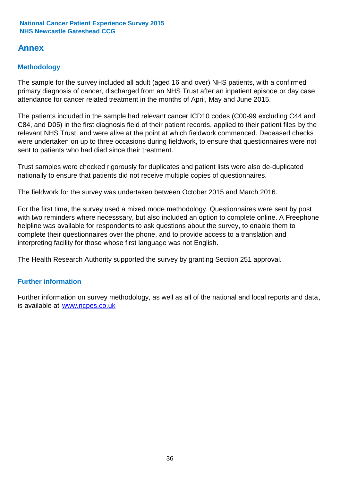### **Annex**

### **Methodology**

The sample for the survey included all adult (aged 16 and over) NHS patients, with a confirmed primary diagnosis of cancer, discharged from an NHS Trust after an inpatient episode or day case attendance for cancer related treatment in the months of April, May and June 2015.

The patients included in the sample had relevant cancer ICD10 codes (C00-99 excluding C44 and C84, and D05) in the first diagnosis field of their patient records, applied to their patient files by the relevant NHS Trust, and were alive at the point at which fieldwork commenced. Deceased checks were undertaken on up to three occasions during fieldwork, to ensure that questionnaires were not sent to patients who had died since their treatment.

Trust samples were checked rigorously for duplicates and patient lists were also de-duplicated nationally to ensure that patients did not receive multiple copies of questionnaires.

The fieldwork for the survey was undertaken between October 2015 and March 2016.

For the first time, the survey used a mixed mode methodology. Questionnaires were sent by post with two reminders where necesssary, but also included an option to complete online. A Freephone helpline was available for respondents to ask questions about the survey, to enable them to complete their questionnaires over the phone, and to provide access to a translation and interpreting facility for those whose first language was not English.

The Health Research Authority supported the survey by granting Section 251 approval.

### **Further information**

Further information on survey methodology, as well as all of the national and local reports and data, is available at www.ncpes.co.uk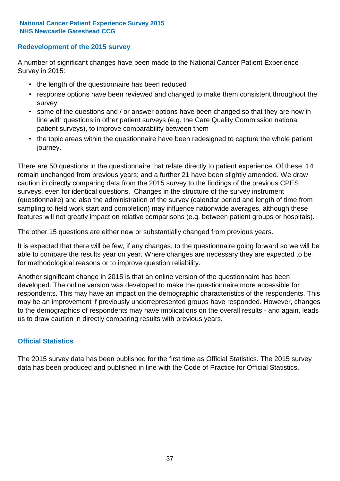#### **Redevelopment of the 2015 survey**

A number of significant changes have been made to the National Cancer Patient Experience Survey in 2015:

- the length of the questionnaire has been reduced
- response options have been reviewed and changed to make them consistent throughout the survey
- some of the questions and / or answer options have been changed so that they are now in line with questions in other patient surveys (e.g. the Care Quality Commission national patient surveys), to improve comparability between them
- the topic areas within the questionnaire have been redesigned to capture the whole patient journey.

There are 50 questions in the questionnaire that relate directly to patient experience. Of these, 14 remain unchanged from previous years; and a further 21 have been slightly amended. We draw caution in directly comparing data from the 2015 survey to the findings of the previous CPES surveys, even for identical questions. Changes in the structure of the survey instrument (questionnaire) and also the administration of the survey (calendar period and length of time from sampling to field work start and completion) may influence nationwide averages, although these features will not greatly impact on relative comparisons (e.g. between patient groups or hospitals).

The other 15 questions are either new or substantially changed from previous years.

It is expected that there will be few, if any changes, to the questionnaire going forward so we will be able to compare the results year on year. Where changes are necessary they are expected to be for methodological reasons or to improve question reliability.

Another significant change in 2015 is that an online version of the questionnaire has been developed. The online version was developed to make the questionnaire more accessible for respondents. This may have an impact on the demographic characteristics of the respondents. This may be an improvement if previously underrepresented groups have responded. However, changes to the demographics of respondents may have implications on the overall results - and again, leads us to draw caution in directly comparing results with previous years.

#### **Official Statistics**

The 2015 survey data has been published for the first time as Official Statistics. The 2015 survey data has been produced and published in line with the Code of Practice for Official Statistics.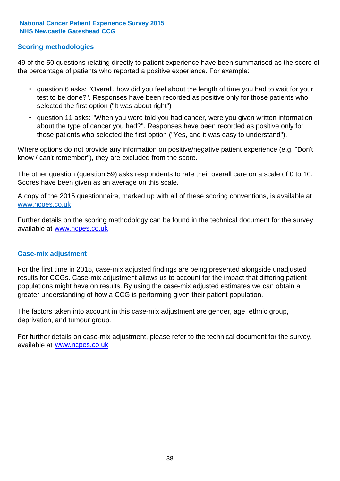#### **Scoring methodologies**

49 of the 50 questions relating directly to patient experience have been summarised as the score of the percentage of patients who reported a positive experience. For example:

- question 6 asks: "Overall, how did you feel about the length of time you had to wait for your test to be done?". Responses have been recorded as positive only for those patients who selected the first option ("It was about right")
- question 11 asks: "When you were told you had cancer, were you given written information about the type of cancer you had?". Responses have been recorded as positive only for those patients who selected the first option ("Yes, and it was easy to understand").

Where options do not provide any information on positive/negative patient experience (e.g. "Don't know / can't remember"), they are excluded from the score.

The other question (question 59) asks respondents to rate their overall care on a scale of 0 to 10. Scores have been given as an average on this scale.

A copy of the 2015 questionnaire, marked up with all of these scoring conventions, is available at www.ncpes.co.uk

Further details on the scoring methodology can be found in the technical document for the survey, available at <u>www.ncpes.co.uk</u>

#### **Case-mix adjustment**

For the first time in 2015, case-mix adjusted findings are being presented alongside unadjusted results for CCGs. Case-mix adjustment allows us to account for the impact that differing patient populations might have on results. By using the case-mix adjusted estimates we can obtain a greater understanding of how a CCG is performing given their patient population.

The factors taken into account in this case-mix adjustment are gender, age, ethnic group, deprivation, and tumour group.

For further details on case-mix adjustment, please refer to the technical document for the survey, available at www.ncpes.co.uk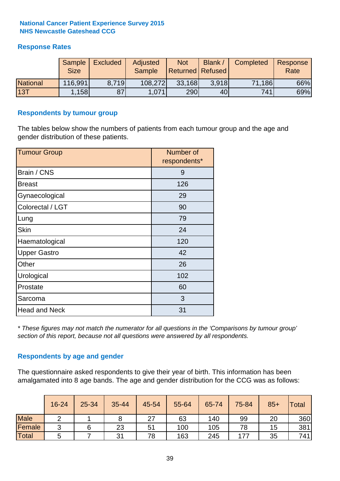#### **Response Rates**

|                 | Sample<br><b>Size</b> | <b>Excluded</b> | Adjusted<br><b>Sample</b> | <b>Not</b><br><b>Returned Refused</b> | Blank / | Completed | Response<br>Rate |
|-----------------|-----------------------|-----------------|---------------------------|---------------------------------------|---------|-----------|------------------|
| <b>National</b> | 116,991               | 8.719           | 108,272                   | 33,168                                | 3.918   | 71,186    | 66%              |
| 13T             | 158                   | 87              | 1,071                     | 290                                   | 40      | 741       | 69%              |

#### **Respondents by tumour group**

The tables below show the numbers of patients from each tumour group and the age and gender distribution of these patients.

| <b>Tumour Group</b>  | Number of<br>respondents* |
|----------------------|---------------------------|
| Brain / CNS          | 9                         |
| <b>Breast</b>        | 126                       |
| Gynaecological       | 29                        |
| Colorectal / LGT     | 90                        |
| Lung                 | 79                        |
| <b>Skin</b>          | 24                        |
| Haematological       | 120                       |
| <b>Upper Gastro</b>  | 42                        |
| Other                | 26                        |
| Urological           | 102                       |
| Prostate             | 60                        |
| Sarcoma              | 3                         |
| <b>Head and Neck</b> | 31                        |

*\* These figures may not match the numerator for all questions in the 'Comparisons by tumour group' section of this report, because not all questions were answered by all respondents.*

#### **Respondents by age and gender**

The questionnaire asked respondents to give their year of birth. This information has been amalgamated into 8 age bands. The age and gender distribution for the CCG was as follows:

|             | 16-24  | 25-34 | 35-44 | 45-54 | 55-64 | 65-74 | 75-84 | $85+$ | <b>Total</b> |
|-------------|--------|-------|-------|-------|-------|-------|-------|-------|--------------|
| <b>Male</b> | ◠      |       |       | 27    | 63    | 140   | 99    | 20    | 360          |
| Female      | ◠<br>ັ |       | 23    | 51    | 100   | 105   | 78    | 15    | 381          |
| Total       | ა      |       | 31    | 78    | 163   | 245   | 177   | 35    | 741          |